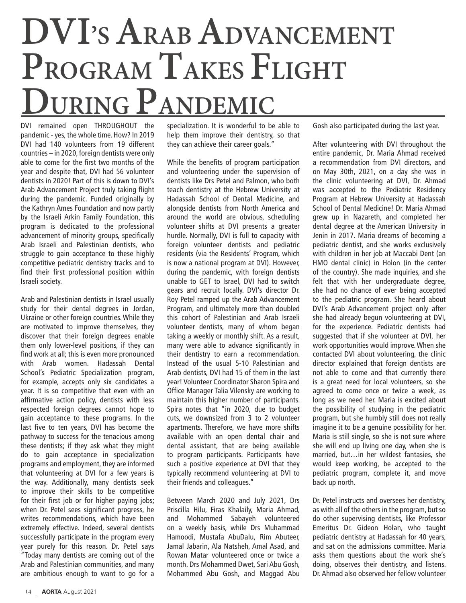## **DVI'S ARAB ADVANCEMENT PROGRAM TAKES FLIGHT DURING PANDEMIC**

DVI remained open THROUGHOUT the pandemic - yes, the whole time. How? In 2019 DVI had 140 volunteers from 19 different countries – in 2020, foreign dentists were only able to come for the first two months of the year and despite that, DVI had 56 volunteer dentists in 2020! Part of this is down to DVI's Arab Advancement Project truly taking flight during the pandemic. Funded originally by the Kathryn Ames Foundation and now partly by the Israeli Arkin Family Foundation, this program is dedicated to the professional advancement of minority groups, specifically Arab Israeli and Palestinian dentists, who struggle to gain acceptance to these highly competitive pediatric dentistry tracks and to find their first professional position within Israeli society.

Arab and Palestinian dentists in Israel usually study for their dental degrees in Jordan, Ukraine or other foreign countries. While they are motivated to improve themselves, they discover that their foreign degrees enable them only lower-level positions, if they can find work at all; this is even more pronounced with Arab women. Hadassah Dental School's Pediatric Specialization program, for example, accepts only six candidates a year. It is so competitive that even with an affirmative action policy, dentists with less respected foreign degrees cannot hope to gain acceptance to these programs. In the last five to ten years, DVI has become the pathway to success for the tenacious among these dentists; if they ask what they might do to gain acceptance in specialization programs and employment, they are informed that volunteering at DVI for a few years is the way. Additionally, many dentists seek to improve their skills to be competitive for their first job or for higher paying jobs; when Dr. Petel sees significant progress, he writes recommendations, which have been extremely effective. Indeed, several dentists successfully participate in the program every year purely for this reason. Dr. Petel says "Today many dentists are coming out of the Arab and Palestinian communities, and many are ambitious enough to want to go for a specialization. It is wonderful to be able to help them improve their dentistry, so that they can achieve their career goals."

While the benefits of program participation and volunteering under the supervision of dentists like Drs Petel and Palmon, who both teach dentistry at the Hebrew University at Hadassah School of Dental Medicine, and alongside dentists from North America and around the world are obvious, scheduling volunteer shifts at DVI presents a greater hurdle. Normally, DVI is full to capacity with foreign volunteer dentists and pediatric residents (via the Residents' Program, which is now a national program at DVI). However, during the pandemic, with foreign dentists unable to GET to Israel, DVI had to switch gears and recruit locally. DVI's director Dr. Roy Petel ramped up the Arab Advancement Program, and ultimately more than doubled this cohort of Palestinian and Arab Israeli volunteer dentists, many of whom began taking a weekly or monthly shift. As a result, many were able to advance significantly in their dentistry to earn a recommendation. Instead of the usual 5-10 Palestinian and Arab dentists, DVI had 15 of them in the last year! Volunteer Coordinator Sharon Spira and Office Manager Talia Vilensky are working to maintain this higher number of participants. Spira notes that "in 2020, due to budget cuts, we downsized from 3 to 2 volunteer apartments. Therefore, we have more shifts available with an open dental chair and dental assistant, that are being available to program participants. Participants have such a positive experience at DVI that they typically recommend volunteering at DVI to their friends and colleagues."

Between March 2020 and July 2021, Drs Priscilla Hilu, Firas Khalaily, Maria Ahmad, and Mohammed Sabayeh volunteered on a weekly basis, while Drs Muhammad Hamoodi, Mustafa AbuDalu, Rim Abuteer, Jamal Jabarin, Ala Natsheh, Amal Asad, and Rowan Matar volunteered once or twice a month. Drs Mohammed Dwet, Sari Abu Gosh, Mohammed Abu Gosh, and Maggad Abu

Gosh also participated during the last year.

After volunteering with DVI throughout the entire pandemic, Dr. Maria Ahmad received a recommendation from DVI directors, and on May 30th, 2021, on a day she was in the clinic volunteering at DVI, Dr. Ahmad was accepted to the Pediatric Residency Program at Hebrew University at Hadassah School of Dental Medicine! Dr. Maria Ahmad grew up in Nazareth, and completed her dental degree at the American University in Jenin in 2017. Maria dreams of becoming a pediatric dentist, and she works exclusively with children in her job at Maccabi Dent (an HMO dental clinic) in Holon (in the center of the country). She made inquiries, and she felt that with her undergraduate degree, she had no chance of ever being accepted to the pediatric program. She heard about DVI's Arab Advancement project only after she had already begun volunteering at DVI, for the experience. Pediatric dentists had suggested that if she volunteer at DVI, her work opportunities would improve. When she contacted DVI about volunteering, the clinic director explained that foreign dentists are not able to come and that currently there is a great need for local volunteers, so she agreed to come once or twice a week, as long as we need her. Maria is excited about the possibility of studying in the pediatric program, but she humbly still does not really imagine it to be a genuine possibility for her. Maria is still single, so she is not sure where she will end up living one day, when she is married, but…in her wildest fantasies, she would keep working, be accepted to the pediatric program, complete it, and move back up north.

aoing, observes their dentistry, and listens.<br>Dr. Ahmad also observed her fellow volunteer Dr. Petel instructs and oversees her dentistry, as with all of the others in the program, but so do other supervising dentists, like Professor Emeritus Dr. Gideon Holan, who taught pediatric dentistry at Hadassah for 40 years, and sat on the admissions committee. Maria asks them questions about the work she's doing, observes their dentistry, and listens.